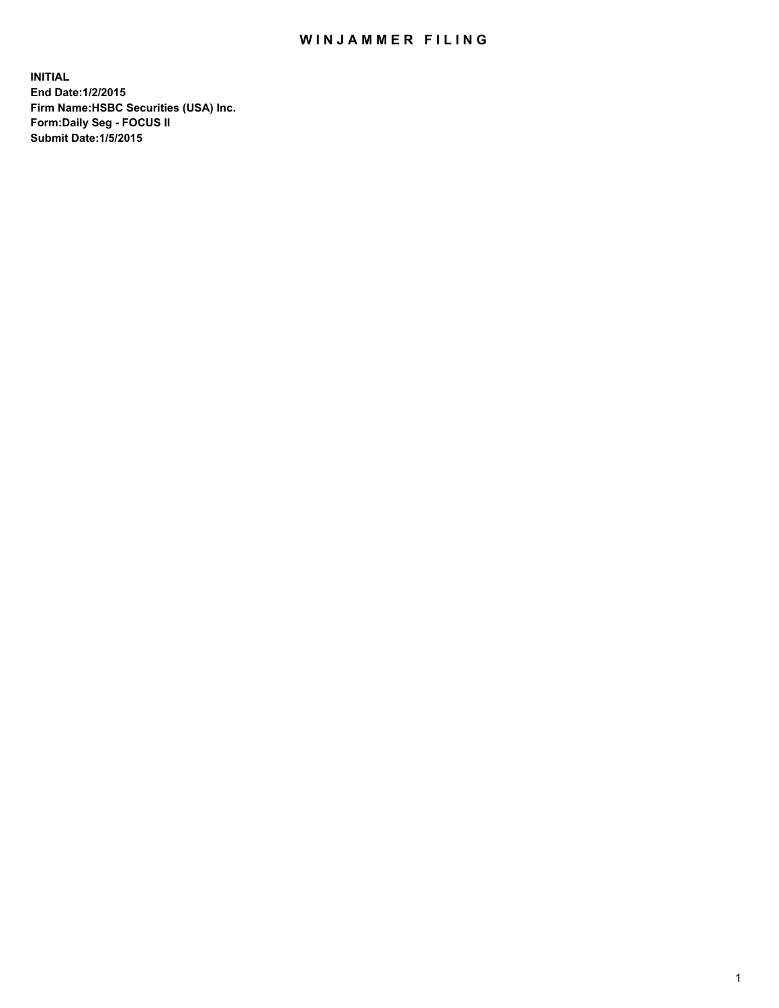## WIN JAMMER FILING

**INITIAL End Date:1/2/2015 Firm Name:HSBC Securities (USA) Inc. Form:Daily Seg - FOCUS II Submit Date:1/5/2015**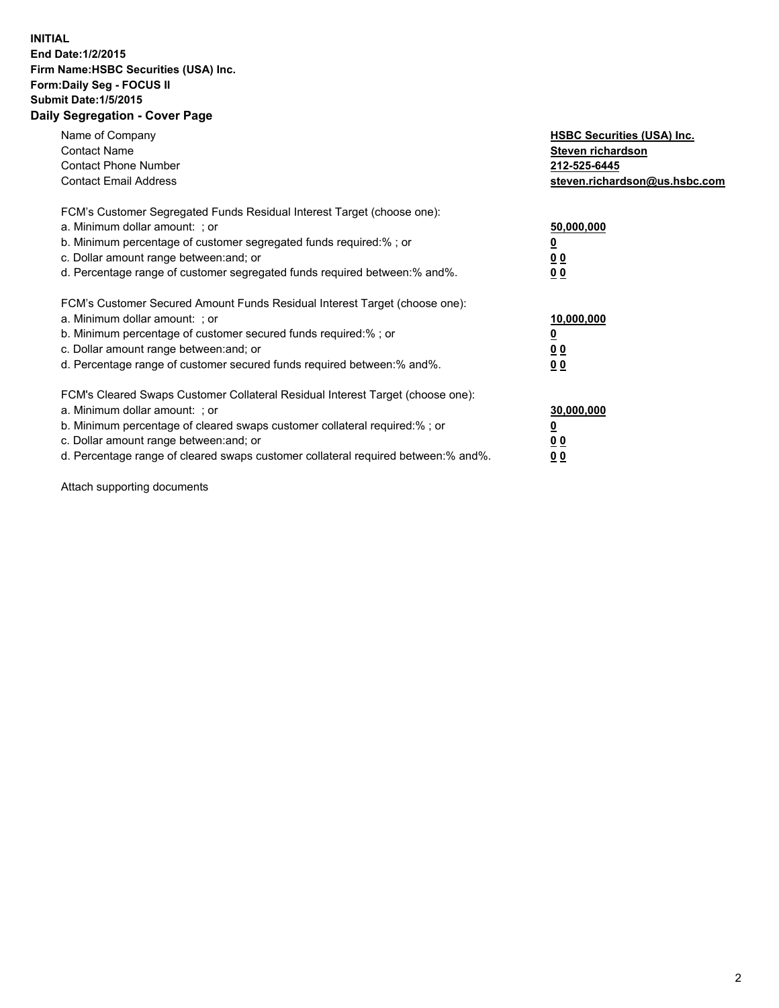## **INITIAL End Date:1/2/2015 Firm Name:HSBC Securities (USA) Inc. Form:Daily Seg - FOCUS II Submit Date:1/5/2015 Daily Segregation - Cover Page**

| Name of Company<br><b>Contact Name</b><br><b>Contact Phone Number</b><br><b>Contact Email Address</b>                                                                                                                                                                                                                         | <b>HSBC Securities (USA) Inc.</b><br>Steven richardson<br>212-525-6445<br>steven.richardson@us.hsbc.com |
|-------------------------------------------------------------------------------------------------------------------------------------------------------------------------------------------------------------------------------------------------------------------------------------------------------------------------------|---------------------------------------------------------------------------------------------------------|
| FCM's Customer Segregated Funds Residual Interest Target (choose one):<br>a. Minimum dollar amount: ; or<br>b. Minimum percentage of customer segregated funds required:% ; or<br>c. Dollar amount range between: and; or<br>d. Percentage range of customer segregated funds required between: % and %.                      | 50,000,000<br>0 <sub>0</sub><br>00                                                                      |
| FCM's Customer Secured Amount Funds Residual Interest Target (choose one):<br>a. Minimum dollar amount: ; or<br>b. Minimum percentage of customer secured funds required:%; or<br>c. Dollar amount range between: and; or<br>d. Percentage range of customer secured funds required between: % and %.                         | 10,000,000<br>00<br>00                                                                                  |
| FCM's Cleared Swaps Customer Collateral Residual Interest Target (choose one):<br>a. Minimum dollar amount: ; or<br>b. Minimum percentage of cleared swaps customer collateral required:%; or<br>c. Dollar amount range between: and; or<br>d. Percentage range of cleared swaps customer collateral required between:% and%. | 30,000,000<br>0 <sub>0</sub><br>00                                                                      |

Attach supporting documents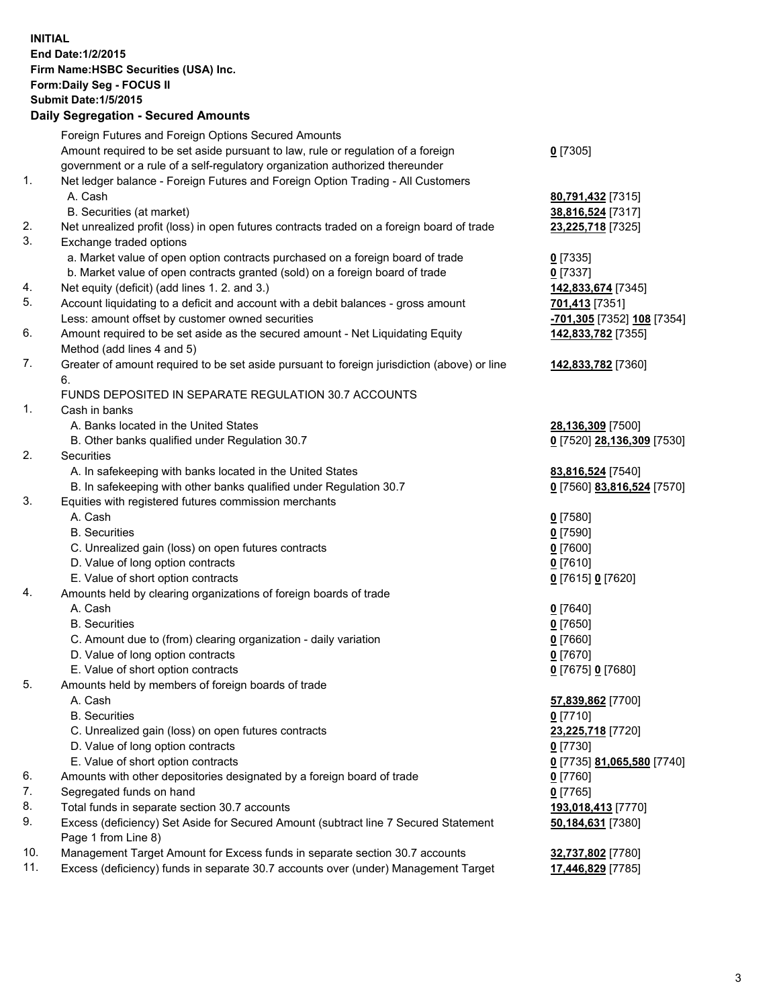**INITIAL End Date:1/2/2015 Firm Name:HSBC Securities (USA) Inc. Form:Daily Seg - FOCUS II Submit Date:1/5/2015 Daily Segregation - Secured Amounts** Foreign Futures and Foreign Options Secured Amounts Amount required to be set aside pursuant to law, rule or regulation of a foreign government or a rule of a self-regulatory organization authorized thereunder **0** [7305] 1. Net ledger balance - Foreign Futures and Foreign Option Trading - All Customers A. Cash **80,791,432** [7315] B. Securities (at market) **38,816,524** [7317] 2. Net unrealized profit (loss) in open futures contracts traded on a foreign board of trade **23,225,718** [7325] 3. Exchange traded options a. Market value of open option contracts purchased on a foreign board of trade **0** [7335] b. Market value of open contracts granted (sold) on a foreign board of trade **0** [7337] 4. Net equity (deficit) (add lines 1. 2. and 3.) **142,833,674** [7345] 5. Account liquidating to a deficit and account with a debit balances - gross amount **701,413** [7351] Less: amount offset by customer owned securities **-701,305** [7352] **108** [7354] 6. Amount required to be set aside as the secured amount - Net Liquidating Equity Method (add lines 4 and 5) **142,833,782** [7355] 7. Greater of amount required to be set aside pursuant to foreign jurisdiction (above) or line 6. **142,833,782** [7360] FUNDS DEPOSITED IN SEPARATE REGULATION 30.7 ACCOUNTS 1. Cash in banks A. Banks located in the United States **28,136,309** [7500] B. Other banks qualified under Regulation 30.7 **0** [7520] **28,136,309** [7530] 2. Securities A. In safekeeping with banks located in the United States **83,816,524** [7540] B. In safekeeping with other banks qualified under Regulation 30.7 **0** [7560] **83,816,524** [7570] 3. Equities with registered futures commission merchants A. Cash **0** [7580] B. Securities **0** [7590] C. Unrealized gain (loss) on open futures contracts **0** [7600] D. Value of long option contracts **0** [7610] E. Value of short option contracts **0** [7615] **0** [7620] 4. Amounts held by clearing organizations of foreign boards of trade A. Cash **0** [7640] B. Securities **0** [7650] C. Amount due to (from) clearing organization - daily variation **0** [7660] D. Value of long option contracts **0** [7670] E. Value of short option contracts **0** [7675] **0** [7680] 5. Amounts held by members of foreign boards of trade A. Cash **57,839,862** [7700] B. Securities **0** [7710] C. Unrealized gain (loss) on open futures contracts **23,225,718** [7720] D. Value of long option contracts **0** [7730] E. Value of short option contracts **0** [7735] **81,065,580** [7740] 6. Amounts with other depositories designated by a foreign board of trade **0** [7760] 7. Segregated funds on hand **0** [7765] 8. Total funds in separate section 30.7 accounts **193,018,413** [7770] 9. Excess (deficiency) Set Aside for Secured Amount (subtract line 7 Secured Statement Page 1 from Line 8) **50,184,631** [7380] 10. Management Target Amount for Excess funds in separate section 30.7 accounts **32,737,802** [7780] 11. Excess (deficiency) funds in separate 30.7 accounts over (under) Management Target **17,446,829** [7785]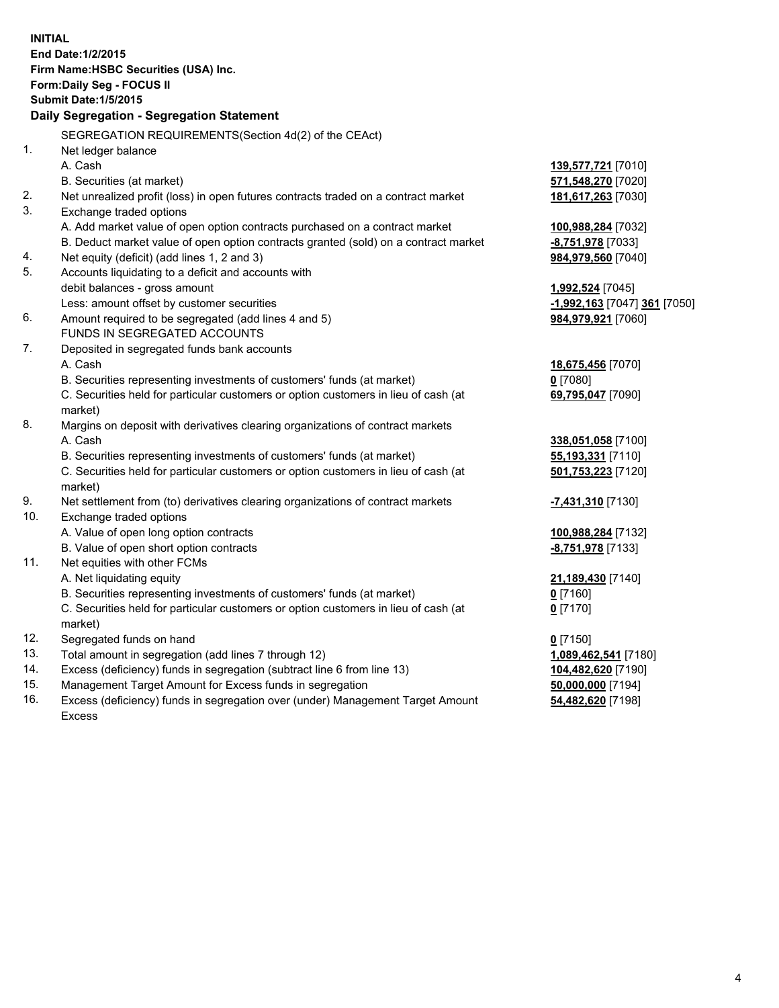| <b>INITIAL</b> | End Date: 1/2/2015<br>Firm Name: HSBC Securities (USA) Inc.<br>Form: Daily Seg - FOCUS II                     |                              |
|----------------|---------------------------------------------------------------------------------------------------------------|------------------------------|
|                | <b>Submit Date: 1/5/2015</b>                                                                                  |                              |
|                | Daily Segregation - Segregation Statement                                                                     |                              |
|                | SEGREGATION REQUIREMENTS(Section 4d(2) of the CEAct)                                                          |                              |
| 1.             | Net ledger balance                                                                                            |                              |
|                | A. Cash                                                                                                       | 139,577,721 [7010]           |
|                | B. Securities (at market)                                                                                     | 571,548,270 [7020]           |
| 2.<br>3.       | Net unrealized profit (loss) in open futures contracts traded on a contract market<br>Exchange traded options | 181,617,263 [7030]           |
|                | A. Add market value of open option contracts purchased on a contract market                                   | 100,988,284 [7032]           |
|                | B. Deduct market value of open option contracts granted (sold) on a contract market                           | -8,751,978 [7033]            |
| 4.             | Net equity (deficit) (add lines 1, 2 and 3)                                                                   | 984,979,560 [7040]           |
| 5.             | Accounts liquidating to a deficit and accounts with                                                           |                              |
|                | debit balances - gross amount                                                                                 | 1,992,524 [7045]             |
|                | Less: amount offset by customer securities                                                                    | -1,992,163 [7047] 361 [7050] |
| 6.             | Amount required to be segregated (add lines 4 and 5)                                                          | 984,979,921 [7060]           |
|                | FUNDS IN SEGREGATED ACCOUNTS                                                                                  |                              |
| 7.             | Deposited in segregated funds bank accounts                                                                   |                              |
|                | A. Cash                                                                                                       | 18,675,456 [7070]            |
|                | B. Securities representing investments of customers' funds (at market)                                        | $0$ [7080]                   |
|                | C. Securities held for particular customers or option customers in lieu of cash (at<br>market)                | 69,795,047 [7090]            |
| 8.             | Margins on deposit with derivatives clearing organizations of contract markets                                |                              |
|                | A. Cash                                                                                                       | 338,051,058 [7100]           |
|                | B. Securities representing investments of customers' funds (at market)                                        | 55,193,331 [7110]            |
|                | C. Securities held for particular customers or option customers in lieu of cash (at<br>market)                | 501,753,223 [7120]           |
| 9.             | Net settlement from (to) derivatives clearing organizations of contract markets                               | -7,431,310 [7130]            |
| 10.            | Exchange traded options                                                                                       |                              |
|                | A. Value of open long option contracts                                                                        | 100,988,284 [7132]           |
|                | B. Value of open short option contracts                                                                       | -8,751,978 [7133]            |
| 11.            | Net equities with other FCMs                                                                                  |                              |
|                | A. Net liquidating equity                                                                                     | 21,189,430 [7140]            |
|                | B. Securities representing investments of customers' funds (at market)                                        | $0$ [7160]                   |
|                | C. Securities held for particular customers or option customers in lieu of cash (at                           | $0$ [7170]                   |
|                | market)                                                                                                       |                              |
| 12.            | Segregated funds on hand                                                                                      | $0$ [7150]                   |
| 13.            | Total amount in segregation (add lines 7 through 12)                                                          | 1,089,462,541 [7180]         |
| 14.            | Excess (deficiency) funds in segregation (subtract line 6 from line 13)                                       | 104,482,620 [7190]           |
| 15.            | Management Target Amount for Excess funds in segregation                                                      | 50,000,000 [7194]            |
| 16.            | Excess (deficiency) funds in segregation over (under) Management Target Amount                                | 54,482,620 [7198]            |

16. Excess (deficiency) funds in segregation over (under) Management Target Amount Excess